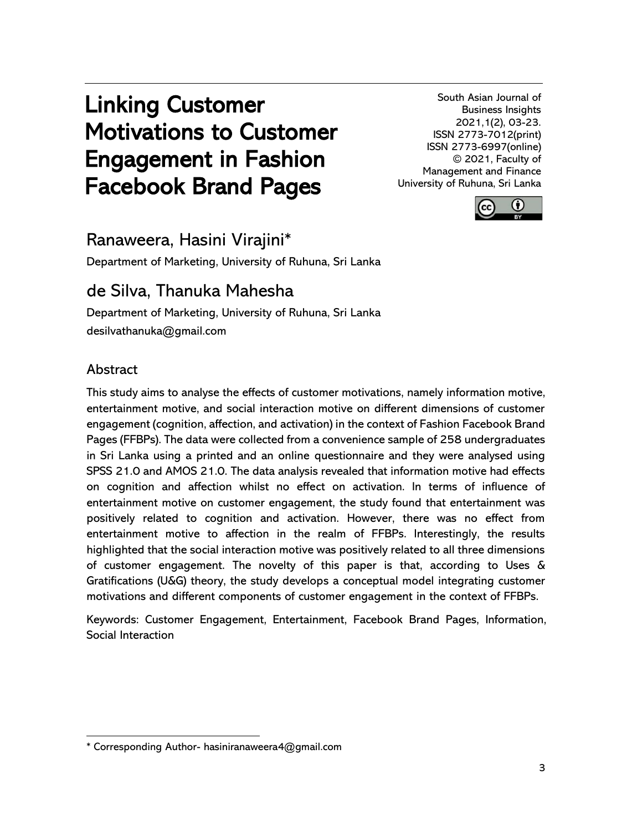# Linking Customer Motivations to Customer Engagement in Fashion Facebook Brand Pages

South Asian Journal of Business Insights 2021,1(2), 03-23. ISSN 2773-7012(print) ISSN 2773-6997(online) © 2021, Faculty of Management and Finance University of Ruhuna, Sri Lanka



# Ranaweera, Hasini Virajini\*

Department of Marketing, University of Ruhuna, Sri Lanka

# de Silva, Thanuka Mahesha

Department of Marketing, University of Ruhuna, Sri Lanka desilvathanuka@gmail.com

## Abstract

This study aims to analyse the effects of customer motivations, namely information motive, entertainment motive, and social interaction motive on different dimensions of customer engagement (cognition, affection, and activation) in the context of Fashion Facebook Brand Pages (FFBPs). The data were collected from a convenience sample of 258 undergraduates in Sri Lanka using a printed and an online questionnaire and they were analysed using SPSS 21.0 and AMOS 21.0. The data analysis revealed that information motive had effects on cognition and affection whilst no effect on activation. In terms of influence of entertainment motive on customer engagement, the study found that entertainment was positively related to cognition and activation. However, there was no effect from entertainment motive to affection in the realm of FFBPs. Interestingly, the results highlighted that the social interaction motive was positively related to all three dimensions of customer engagement. The novelty of this paper is that, according to Uses & Gratifications (U&G) theory, the study develops a conceptual model integrating customer motivations and different components of customer engagement in the context of FFBPs.

Keywords: Customer Engagement, Entertainment, Facebook Brand Pages, Information, Social Interaction

<sup>\*</sup> Corresponding Author- hasiniranaweera4@gmail.com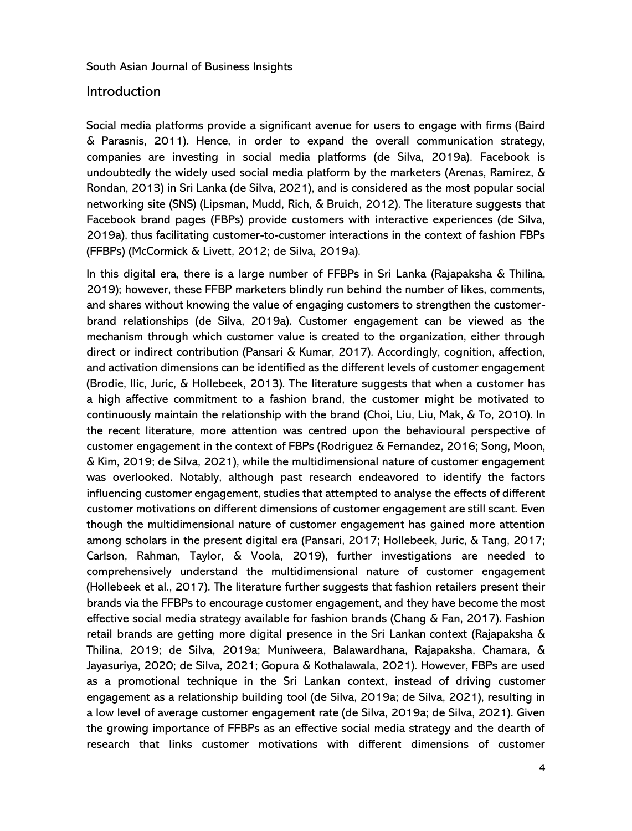#### **Introduction**

Social media platforms provide a significant avenue for users to engage with firms (Baird & Parasnis, 2011). Hence, in order to expand the overall communication strategy, companies are investing in social media platforms (de Silva, 2019a). Facebook is undoubtedly the widely used social media platform by the marketers (Arenas, Ramirez, & Rondan, 2013) in Sri Lanka (de Silva, 2021), and is considered as the most popular social networking site (SNS) (Lipsman, Mudd, Rich, & Bruich, 2012). The literature suggests that Facebook brand pages (FBPs) provide customers with interactive experiences (de Silva, 2019a), thus facilitating customer-to-customer interactions in the context of fashion FBPs (FFBPs) (McCormick & Livett, 2012; de Silva, 2019a).

In this digital era, there is a large number of FFBPs in Sri Lanka (Rajapaksha & Thilina, 2019); however, these FFBP marketers blindly run behind the number of likes, comments, and shares without knowing the value of engaging customers to strengthen the customerbrand relationships (de Silva, 2019a). Customer engagement can be viewed as the mechanism through which customer value is created to the organization, either through direct or indirect contribution (Pansari & Kumar, 2017). Accordingly, cognition, affection, and activation dimensions can be identified as the different levels of customer engagement (Brodie, Ilic, Juric, & Hollebeek, 2013). The literature suggests that when a customer has a high affective commitment to a fashion brand, the customer might be motivated to continuously maintain the relationship with the brand (Choi, Liu, Liu, Mak, & To, 2010). In the recent literature, more attention was centred upon the behavioural perspective of customer engagement in the context of FBPs (Rodriguez & Fernandez, 2016; Song, Moon, & Kim, 2019; de Silva, 2021), while the multidimensional nature of customer engagement was overlooked. Notably, although past research endeavored to identify the factors influencing customer engagement, studies that attempted to analyse the effects of different customer motivations on different dimensions of customer engagement are still scant. Even though the multidimensional nature of customer engagement has gained more attention among scholars in the present digital era (Pansari, 2017; Hollebeek, Juric, & Tang, 2017; Carlson, Rahman, Taylor, & Voola, 2019), further investigations are needed to comprehensively understand the multidimensional nature of customer engagement (Hollebeek et al., 2017). The literature further suggests that fashion retailers present their brands via the FFBPs to encourage customer engagement, and they have become the most effective social media strategy available for fashion brands (Chang & Fan, 2017). Fashion retail brands are getting more digital presence in the Sri Lankan context (Rajapaksha & Thilina, 2019; de Silva, 2019a; Muniweera, Balawardhana, Rajapaksha, Chamara, & Jayasuriya, 2020; de Silva, 2021; Gopura & Kothalawala, 2021). However, FBPs are used as a promotional technique in the Sri Lankan context, instead of driving customer engagement as a relationship building tool (de Silva, 2019a; de Silva, 2021), resulting in a low level of average customer engagement rate (de Silva, 2019a; de Silva, 2021). Given the growing importance of FFBPs as an effective social media strategy and the dearth of research that links customer motivations with different dimensions of customer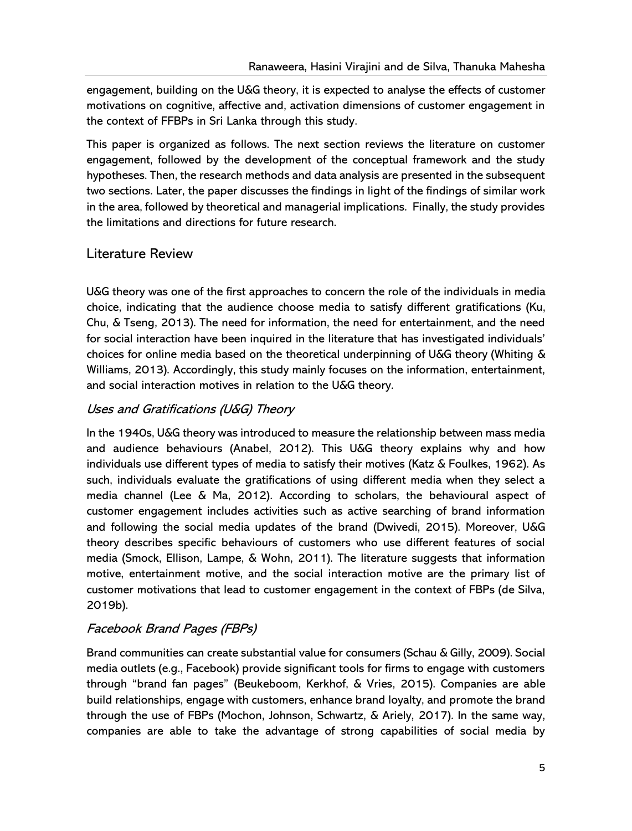engagement, building on the U&G theory, it is expected to analyse the effects of customer motivations on cognitive, affective and, activation dimensions of customer engagement in the context of FFBPs in Sri Lanka through this study.

This paper is organized as follows. The next section reviews the literature on customer engagement, followed by the development of the conceptual framework and the study hypotheses. Then, the research methods and data analysis are presented in the subsequent two sections. Later, the paper discusses the findings in light of the findings of similar work in the area, followed by theoretical and managerial implications. Finally, the study provides the limitations and directions for future research.

### Literature Review

U&G theory was one of the first approaches to concern the role of the individuals in media choice, indicating that the audience choose media to satisfy different gratifications (Ku, Chu, & Tseng, 2013). The need for information, the need for entertainment, and the need for social interaction have been inquired in the literature that has investigated individuals' choices for online media based on the theoretical underpinning of U&G theory (Whiting & Williams, 2013). Accordingly, this study mainly focuses on the information, entertainment, and social interaction motives in relation to the U&G theory.

#### Uses and Gratifications (U&G) Theory

In the 1940s, U&G theory was introduced to measure the relationship between mass media and audience behaviours (Anabel, 2012). This U&G theory explains why and how individuals use different types of media to satisfy their motives (Katz & Foulkes, 1962). As such, individuals evaluate the gratifications of using different media when they select a media channel (Lee & Ma, 2012). According to scholars, the behavioural aspect of customer engagement includes activities such as active searching of brand information and following the social media updates of the brand (Dwivedi, 2015). Moreover, U&G theory describes specific behaviours of customers who use different features of social media (Smock, Ellison, Lampe, & Wohn, 2011). The literature suggests that information motive, entertainment motive, and the social interaction motive are the primary list of customer motivations that lead to customer engagement in the context of FBPs (de Silva, 2019b).

#### Facebook Brand Pages (FBPs)

Brand communities can create substantial value for consumers (Schau & Gilly, 2009). Social media outlets (e.g., Facebook) provide significant tools for firms to engage with customers through "brand fan pages" (Beukeboom, Kerkhof, & Vries, 2015). Companies are able build relationships, engage with customers, enhance brand loyalty, and promote the brand through the use of FBPs (Mochon, Johnson, Schwartz, & Ariely, 2017). In the same way, companies are able to take the advantage of strong capabilities of social media by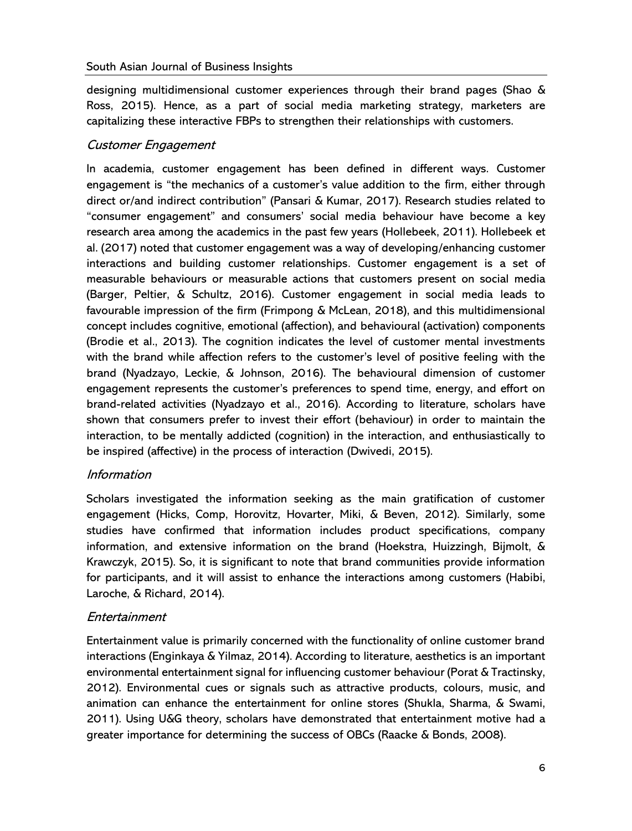designing multidimensional customer experiences through their brand pages (Shao & Ross, 2015). Hence, as a part of social media marketing strategy, marketers are capitalizing these interactive FBPs to strengthen their relationships with customers.

#### Customer Engagement

In academia, customer engagement has been defined in different ways. Customer engagement is "the mechanics of a customer's value addition to the firm, either through direct or/and indirect contribution" (Pansari & Kumar, 2017). Research studies related to "consumer engagement" and consumers' social media behaviour have become a key research area among the academics in the past few years (Hollebeek, 2011). Hollebeek et al. (2017) noted that customer engagement was a way of developing/enhancing customer interactions and building customer relationships. Customer engagement is a set of measurable behaviours or measurable actions that customers present on social media (Barger, Peltier, & Schultz, 2016). Customer engagement in social media leads to favourable impression of the firm (Frimpong & McLean, 2018), and this multidimensional concept includes cognitive, emotional (affection), and behavioural (activation) components (Brodie et al., 2013). The cognition indicates the level of customer mental investments with the brand while affection refers to the customer's level of positive feeling with the brand (Nyadzayo, Leckie, & Johnson, 2016). The behavioural dimension of customer engagement represents the customer's preferences to spend time, energy, and effort on brand-related activities (Nyadzayo et al., 2016). According to literature, scholars have shown that consumers prefer to invest their effort (behaviour) in order to maintain the interaction, to be mentally addicted (cognition) in the interaction, and enthusiastically to be inspired (affective) in the process of interaction (Dwivedi, 2015).

#### Information

Scholars investigated the information seeking as the main gratification of customer engagement (Hicks, Comp, Horovitz, Hovarter, Miki, & Beven, 2012). Similarly, some studies have confirmed that information includes product specifications, company information, and extensive information on the brand (Hoekstra, Huizzingh, Bijmolt, & Krawczyk, 2015). So, it is significant to note that brand communities provide information for participants, and it will assist to enhance the interactions among customers (Habibi, Laroche, & Richard, 2014).

#### Entertainment

Entertainment value is primarily concerned with the functionality of online customer brand interactions (Enginkaya & Yilmaz, 2014). According to literature, aesthetics is an important environmental entertainment signal for influencing customer behaviour (Porat & Tractinsky, 2012). Environmental cues or signals such as attractive products, colours, music, and animation can enhance the entertainment for online stores (Shukla, Sharma, & Swami, 2011). Using U&G theory, scholars have demonstrated that entertainment motive had a greater importance for determining the success of OBCs (Raacke & Bonds, 2008).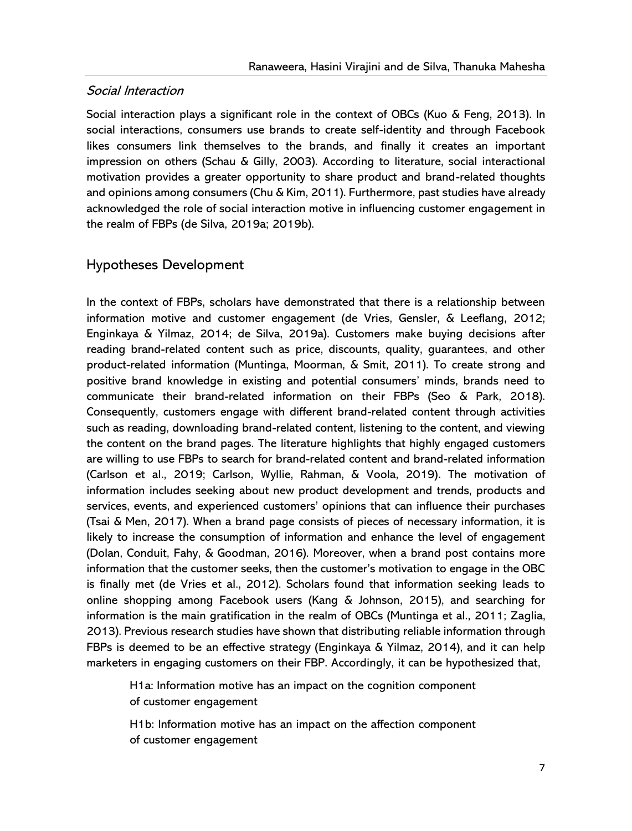#### Social Interaction

Social interaction plays a significant role in the context of OBCs (Kuo & Feng, 2013). In social interactions, consumers use brands to create self-identity and through Facebook likes consumers link themselves to the brands, and finally it creates an important impression on others (Schau & Gilly, 2003). According to literature, social interactional motivation provides a greater opportunity to share product and brand-related thoughts and opinions among consumers (Chu & Kim, 2011). Furthermore, past studies have already acknowledged the role of social interaction motive in influencing customer engagement in the realm of FBPs (de Silva, 2019a; 2019b).

### Hypotheses Development

In the context of FBPs, scholars have demonstrated that there is a relationship between information motive and customer engagement (de Vries, Gensler, & Leeflang, 2012; Enginkaya & Yilmaz, 2014; de Silva, 2019a). Customers make buying decisions after reading brand-related content such as price, discounts, quality, guarantees, and other product-related information (Muntinga, Moorman, & Smit, 2011). To create strong and positive brand knowledge in existing and potential consumers' minds, brands need to communicate their brand-related information on their FBPs (Seo & Park, 2018). Consequently, customers engage with different brand-related content through activities such as reading, downloading brand-related content, listening to the content, and viewing the content on the brand pages. The literature highlights that highly engaged customers are willing to use FBPs to search for brand-related content and brand-related information (Carlson et al., 2019; Carlson, Wyllie, Rahman, & Voola, 2019). The motivation of information includes seeking about new product development and trends, products and services, events, and experienced customers' opinions that can influence their purchases (Tsai & Men, 2017). When a brand page consists of pieces of necessary information, it is likely to increase the consumption of information and enhance the level of engagement (Dolan, Conduit, Fahy, & Goodman, 2016). Moreover, when a brand post contains more information that the customer seeks, then the customer's motivation to engage in the OBC is finally met (de Vries et al., 2012). Scholars found that information seeking leads to online shopping among Facebook users (Kang & Johnson, 2015), and searching for information is the main gratification in the realm of OBCs (Muntinga et al., 2011; Zaglia, 2013). Previous research studies have shown that distributing reliable information through FBPs is deemed to be an effective strategy (Enginkaya & Yilmaz, 2014), and it can help marketers in engaging customers on their FBP. Accordingly, it can be hypothesized that,

H1a: Information motive has an impact on the cognition component of customer engagement

H1b: Information motive has an impact on the affection component of customer engagement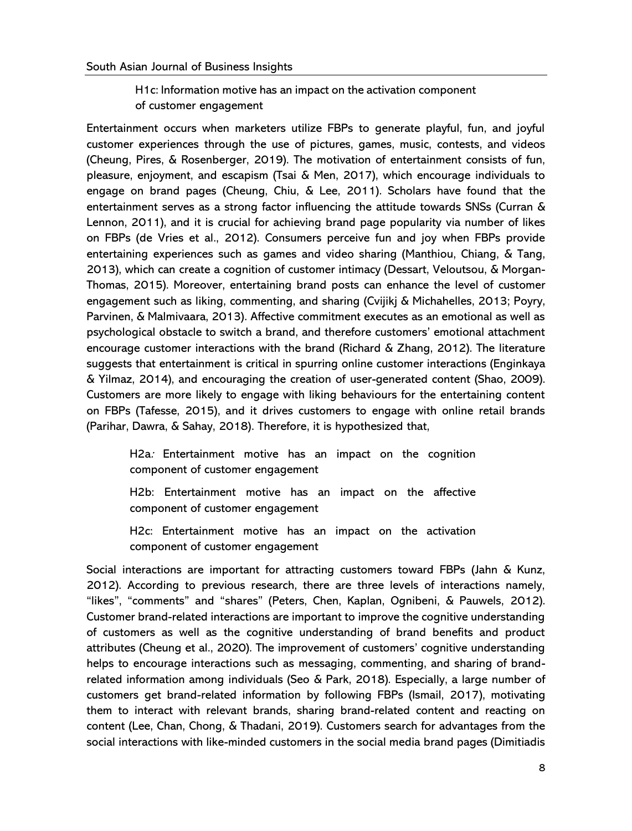H1c: Information motive has an impact on the activation component of customer engagement

Entertainment occurs when marketers utilize FBPs to generate playful, fun, and joyful customer experiences through the use of pictures, games, music, contests, and videos (Cheung, Pires, & Rosenberger, 2019). The motivation of entertainment consists of fun, pleasure, enjoyment, and escapism (Tsai & Men, 2017), which encourage individuals to engage on brand pages (Cheung, Chiu, & Lee, 2011). Scholars have found that the entertainment serves as a strong factor influencing the attitude towards SNSs (Curran & Lennon, 2011), and it is crucial for achieving brand page popularity via number of likes on FBPs (de Vries et al., 2012). Consumers perceive fun and joy when FBPs provide entertaining experiences such as games and video sharing (Manthiou, Chiang, & Tang, 2013), which can create a cognition of customer intimacy (Dessart, Veloutsou, & Morgan-Thomas, 2015). Moreover, entertaining brand posts can enhance the level of customer engagement such as liking, commenting, and sharing (Cvijikj & Michahelles, 2013; Poyry, Parvinen, & Malmivaara, 2013). Affective commitment executes as an emotional as well as psychological obstacle to switch a brand, and therefore customers' emotional attachment encourage customer interactions with the brand (Richard & Zhang, 2012). The literature suggests that entertainment is critical in spurring online customer interactions (Enginkaya & Yilmaz, 2014), and encouraging the creation of user-generated content (Shao, 2009). Customers are more likely to engage with liking behaviours for the entertaining content on FBPs (Tafesse, 2015), and it drives customers to engage with online retail brands (Parihar, Dawra, & Sahay, 2018). Therefore, it is hypothesized that,

H2a: Entertainment motive has an impact on the cognition component of customer engagement

H2b: Entertainment motive has an impact on the affective component of customer engagement

H2c: Entertainment motive has an impact on the activation component of customer engagement

Social interactions are important for attracting customers toward FBPs (Jahn & Kunz, 2012). According to previous research, there are three levels of interactions namely, "likes", "comments" and "shares" (Peters, Chen, Kaplan, Ognibeni, & Pauwels, 2012). Customer brand-related interactions are important to improve the cognitive understanding of customers as well as the cognitive understanding of brand benefits and product attributes (Cheung et al., 2020). The improvement of customers' cognitive understanding helps to encourage interactions such as messaging, commenting, and sharing of brandrelated information among individuals (Seo & Park, 2018). Especially, a large number of customers get brand-related information by following FBPs (Ismail, 2017), motivating them to interact with relevant brands, sharing brand-related content and reacting on content (Lee, Chan, Chong, & Thadani, 2019). Customers search for advantages from the social interactions with like-minded customers in the social media brand pages (Dimitiadis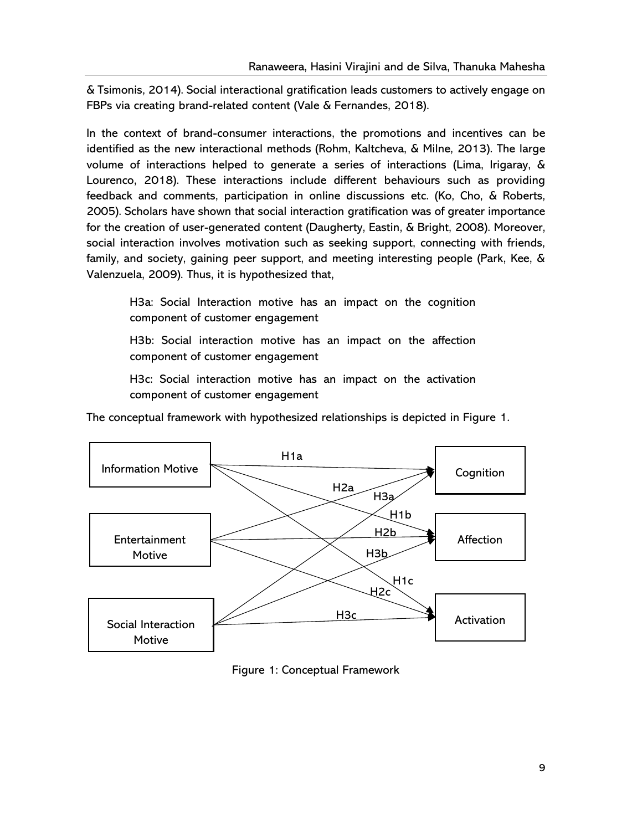& Tsimonis, 2014). Social interactional gratification leads customers to actively engage on FBPs via creating brand-related content (Vale & Fernandes, 2018).

In the context of brand-consumer interactions, the promotions and incentives can be identified as the new interactional methods (Rohm, Kaltcheva, & Milne, 2013). The large volume of interactions helped to generate a series of interactions (Lima, Irigaray, & Lourenco, 2018). These interactions include different behaviours such as providing feedback and comments, participation in online discussions etc. (Ko, Cho, & Roberts, 2005). Scholars have shown that social interaction gratification was of greater importance for the creation of user-generated content (Daugherty, Eastin, & Bright, 2008). Moreover, social interaction involves motivation such as seeking support, connecting with friends, family, and society, gaining peer support, and meeting interesting people (Park, Kee, & Valenzuela, 2009). Thus, it is hypothesized that,

H3a: Social Interaction motive has an impact on the cognition component of customer engagement

H3b: Social interaction motive has an impact on the affection component of customer engagement

H3c: Social interaction motive has an impact on the activation component of customer engagement

The conceptual framework with hypothesized relationships is depicted in Figure 1.



Figure 1: Conceptual Framework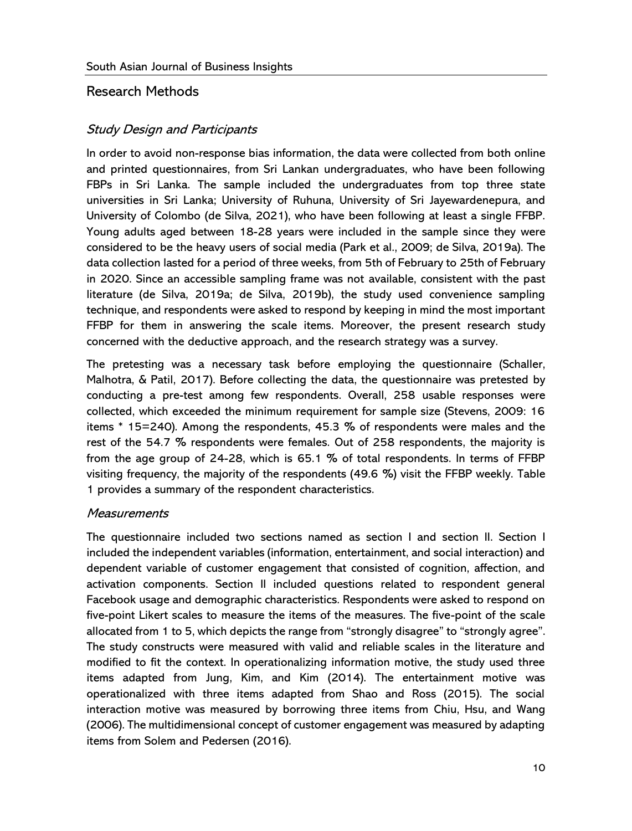#### Research Methods

#### Study Design and Participants

In order to avoid non-response bias information, the data were collected from both online and printed questionnaires, from Sri Lankan undergraduates, who have been following FBPs in Sri Lanka. The sample included the undergraduates from top three state universities in Sri Lanka; University of Ruhuna, University of Sri Jayewardenepura, and University of Colombo (de Silva, 2021), who have been following at least a single FFBP. Young adults aged between 18-28 years were included in the sample since they were considered to be the heavy users of social media (Park et al., 2009; de Silva, 2019a). The data collection lasted for a period of three weeks, from 5th of February to 25th of February in 2020. Since an accessible sampling frame was not available, consistent with the past literature (de Silva, 2019a; de Silva, 2019b), the study used convenience sampling technique, and respondents were asked to respond by keeping in mind the most important FFBP for them in answering the scale items. Moreover, the present research study concerned with the deductive approach, and the research strategy was a survey.

The pretesting was a necessary task before employing the questionnaire (Schaller, Malhotra, & Patil, 2017). Before collecting the data, the questionnaire was pretested by conducting a pre-test among few respondents. Overall, 258 usable responses were collected, which exceeded the minimum requirement for sample size (Stevens, 2009: 16 items \* 15=240). Among the respondents, 45.3 % of respondents were males and the rest of the 54.7 % respondents were females. Out of 258 respondents, the majority is from the age group of 24-28, which is 65.1 % of total respondents. In terms of FFBP visiting frequency, the majority of the respondents (49.6 %) visit the FFBP weekly. Table 1 provides a summary of the respondent characteristics.

#### **Measurements**

The questionnaire included two sections named as section I and section II. Section I included the independent variables (information, entertainment, and social interaction) and dependent variable of customer engagement that consisted of cognition, affection, and activation components. Section II included questions related to respondent general Facebook usage and demographic characteristics. Respondents were asked to respond on five-point Likert scales to measure the items of the measures. The five-point of the scale allocated from 1 to 5, which depicts the range from "strongly disagree" to "strongly agree". The study constructs were measured with valid and reliable scales in the literature and modified to fit the context. In operationalizing information motive, the study used three items adapted from Jung, Kim, and Kim (2014). The entertainment motive was operationalized with three items adapted from Shao and Ross (2015). The social interaction motive was measured by borrowing three items from Chiu, Hsu, and Wang (2006). The multidimensional concept of customer engagement was measured by adapting items from Solem and Pedersen (2016).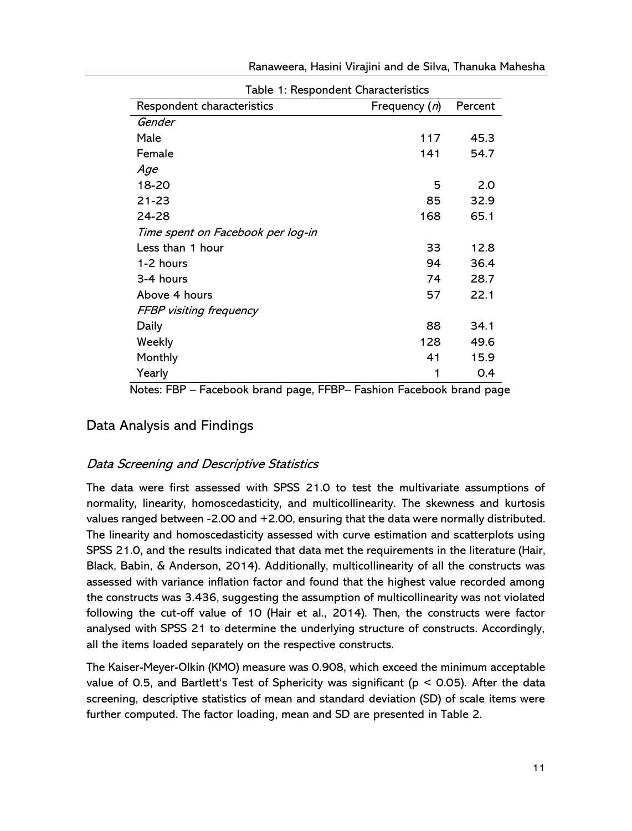| Table 1: Respondent Characteristics |                        |         |  |  |  |
|-------------------------------------|------------------------|---------|--|--|--|
| Respondent characteristics          | Frequency ( <i>n</i> ) | Percent |  |  |  |
| Gender                              |                        |         |  |  |  |
| Male                                | 117                    | 45.3    |  |  |  |
| Female                              | 141                    | 54.7    |  |  |  |
| Age                                 |                        |         |  |  |  |
| 18-20                               | 5                      | 2.0     |  |  |  |
| 21-23                               | 85                     | 32.9    |  |  |  |
| 24-28                               | 168                    | 65.1    |  |  |  |
| Time spent on Facebook per log-in   |                        |         |  |  |  |
| Less than 1 hour                    | 33                     | 12.8    |  |  |  |
| 1-2 hours                           | 94                     | 36.4    |  |  |  |
| 3-4 hours                           | 74                     | 28.7    |  |  |  |
| Above 4 hours                       | 57                     | 22.1    |  |  |  |
| <b>FFBP</b> visiting frequency      |                        |         |  |  |  |
| Daily                               | 88                     | 34.1    |  |  |  |
| Weekly                              | 128                    | 49.6    |  |  |  |
| Monthly                             | 41                     | 15.9    |  |  |  |
| Yearly                              | 1                      | O.4     |  |  |  |

Ranaweera, Hasini Virajini and de Silva, Thanuka Mahesha

Notes: FBP – Facebook brand page, FFBP– Fashion Facebook brand page

#### Data Analysis and Findings

#### Data Screening and Descriptive Statistics

The data were first assessed with SPSS 21.0 to test the multivariate assumptions of normality, linearity, homoscedasticity, and multicollinearity. The skewness and kurtosis values ranged between -2.00 and +2.00, ensuring that the data were normally distributed. The linearity and homoscedasticity assessed with curve estimation and scatterplots using SPSS 21.0, and the results indicated that data met the requirements in the literature (Hair, Black, Babin, & Anderson, 2014). Additionally, multicollinearity of all the constructs was assessed with variance inflation factor and found that the highest value recorded among the constructs was 3.436, suggesting the assumption of multicollinearity was not violated following the cut-off value of 10 (Hair et al., 2014). Then, the constructs were factor analysed with SPSS 21 to determine the underlying structure of constructs. Accordingly, all the items loaded separately on the respective constructs.

The Kaiser-Meyer-Olkin (KMO) measure was 0.908, which exceed the minimum acceptable value of 0.5, and Bartlett's Test of Sphericity was significant ( $p < 0.05$ ). After the data screening, descriptive statistics of mean and standard deviation (SD) of scale items were further computed. The factor loading, mean and SD are presented in Table 2.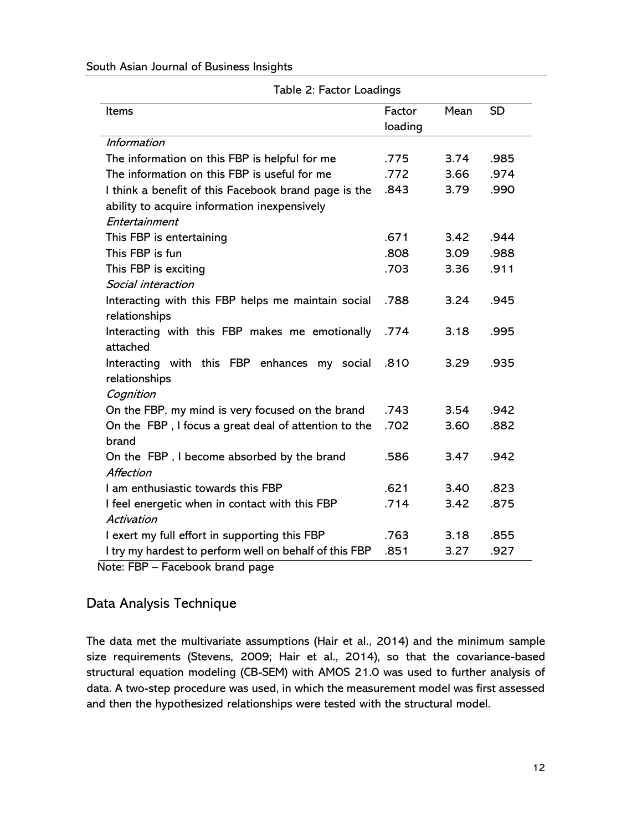|                                                        | Table 2: Factor Loadings |      |           |  |  |  |
|--------------------------------------------------------|--------------------------|------|-----------|--|--|--|
| Items                                                  | Factor                   | Mean | <b>SD</b> |  |  |  |
|                                                        | loading                  |      |           |  |  |  |
| <b>Information</b>                                     |                          |      |           |  |  |  |
| The information on this FBP is helpful for me          | .775                     | 3.74 | .985      |  |  |  |
| The information on this FBP is useful for me           | .772                     | 3.66 | .974      |  |  |  |
| I think a benefit of this Facebook brand page is the   | .843                     | 3.79 | .990      |  |  |  |
| ability to acquire information inexpensively           |                          |      |           |  |  |  |
| Entertainment                                          |                          |      |           |  |  |  |
| This FBP is entertaining                               | .671                     | 3.42 | .944      |  |  |  |
| This FBP is fun                                        | .808                     | 3.09 | .988      |  |  |  |
| This FBP is exciting                                   | .703                     | 3.36 | .911      |  |  |  |
| Social interaction                                     |                          |      |           |  |  |  |
| Interacting with this FBP helps me maintain social     | .788                     | 3.24 | .945      |  |  |  |
| relationships                                          |                          |      |           |  |  |  |
| Interacting with this FBP makes me emotionally         | .774                     | 3.18 | .995      |  |  |  |
| attached                                               |                          |      |           |  |  |  |
| Interacting with this FBP enhances my social           | .810                     | 3.29 | .935      |  |  |  |
| relationships                                          |                          |      |           |  |  |  |
| Cognition                                              |                          |      |           |  |  |  |
| On the FBP, my mind is very focused on the brand       | .743                     | 3.54 | .942      |  |  |  |
| On the FBP, I focus a great deal of attention to the   | .702                     | 3.60 | .882      |  |  |  |
| brand                                                  |                          |      |           |  |  |  |
| On the FBP, I become absorbed by the brand             | .586                     | 3.47 | .942      |  |  |  |
| Affection                                              |                          |      |           |  |  |  |
| I am enthusiastic towards this FBP                     | .621                     | 3.40 | .823      |  |  |  |
| I feel energetic when in contact with this FBP         | .714                     | 3.42 | .875      |  |  |  |
| Activation                                             |                          |      |           |  |  |  |
| I exert my full effort in supporting this FBP          | .763                     | 3.18 | .855      |  |  |  |
| I try my hardest to perform well on behalf of this FBP | .851                     | 3.27 | .927      |  |  |  |

#### South Asian Journal of Business Insights

Table 2: Factor Loadings

Note: FBP – Facebook brand page

#### Data Analysis Technique

The data met the multivariate assumptions (Hair et al., 2014) and the minimum sample size requirements (Stevens, 2009; Hair et al., 2014), so that the covariance-based structural equation modeling (CB-SEM) with AMOS 21.0 was used to further analysis of data. A two-step procedure was used, in which the measurement model was first assessed and then the hypothesized relationships were tested with the structural model.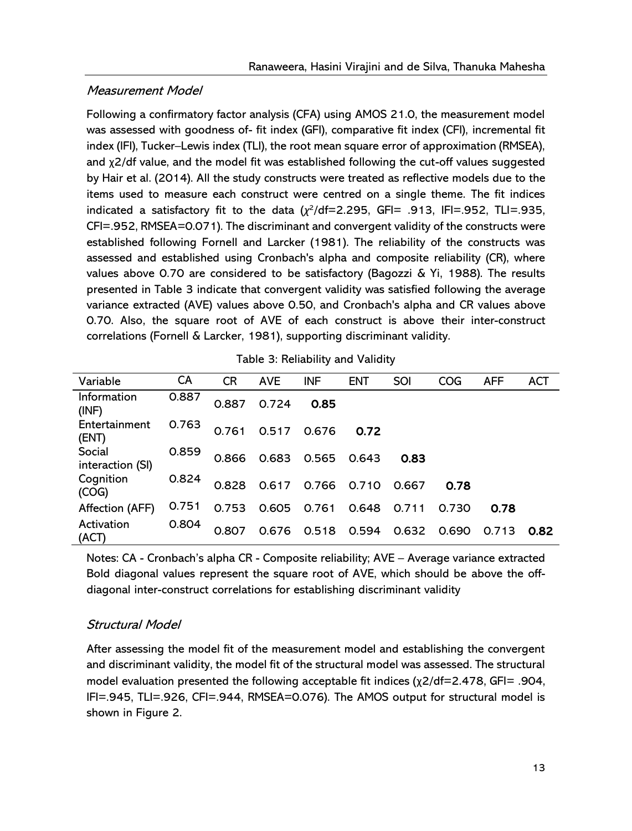#### Measurement Model

Following a confirmatory factor analysis (CFA) using AMOS 21.0, the measurement model was assessed with goodness of- fit index (GFI), comparative fit index (CFI), incremental fit index (IFI), Tucker–Lewis index (TLI), the root mean square error of approximation (RMSEA), and χ2/df value, and the model fit was established following the cut-off values suggested by Hair et al. (2014). All the study constructs were treated as reflective models due to the items used to measure each construct were centred on a single theme. The fit indices indicated a satisfactory fit to the data  $(\chi^2/\text{df}=2.295, \text{ GFI}= .913, \text{ IFI}= .952, \text{ TLI}= .935,$ CFI=.952, RMSEA=0.071). The discriminant and convergent validity of the constructs were established following Fornell and Larcker (1981). The reliability of the constructs was assessed and established using Cronbach's alpha and composite reliability (CR), where values above 0.70 are considered to be satisfactory (Bagozzi & Yi, 1988). The results presented in Table 3 indicate that convergent validity was satisfied following the average variance extracted (AVE) values above 0.50, and Cronbach's alpha and CR values above 0.70. Also, the square root of AVE of each construct is above their inter-construct correlations (Fornell & Larcker, 1981), supporting discriminant validity.

| Variable                   | CA    | <b>CR</b> | <b>AVE</b> | <b>INF</b> | <b>ENT</b> | SOI   | <b>COG</b> | <b>AFF</b> | <b>ACT</b> |
|----------------------------|-------|-----------|------------|------------|------------|-------|------------|------------|------------|
| Information<br>(INF)       | 0.887 | 0.887     | 0.724      | 0.85       |            |       |            |            |            |
| Entertainment<br>(ENT)     | 0.763 | 0.761     | 0.517      | 0.676      | 0.72       |       |            |            |            |
| Social<br>interaction (SI) | 0.859 | 0.866     | 0.683      | 0.565      | 0.643      | 0.83  |            |            |            |
| Cognition<br>(COG)         | 0.824 | 0.828     | 0.617      | 0.766      | 0.710      | 0.667 | 0.78       |            |            |
| Affection (AFF)            | 0.751 | 0.753     | 0.605      | 0.761      | 0.648      | 0.711 | 0.730      | 0.78       |            |
| Activation<br>(ACT)        | 0.804 | 0.807     | 0.676      | 0.518      | 0.594      | 0.632 | 0.690      | 0.713      | 0.82       |

Notes: CA - Cronbach's alpha CR - Composite reliability; AVE – Average variance extracted Bold diagonal values represent the square root of AVE, which should be above the offdiagonal inter-construct correlations for establishing discriminant validity

#### Structural Model

After assessing the model fit of the measurement model and establishing the convergent and discriminant validity, the model fit of the structural model was assessed. The structural model evaluation presented the following acceptable fit indices (χ2/df=2.478, GFI= .904, IFI=.945, TLI=.926, CFI=.944, RMSEA=0.076). The AMOS output for structural model is shown in Figure 2.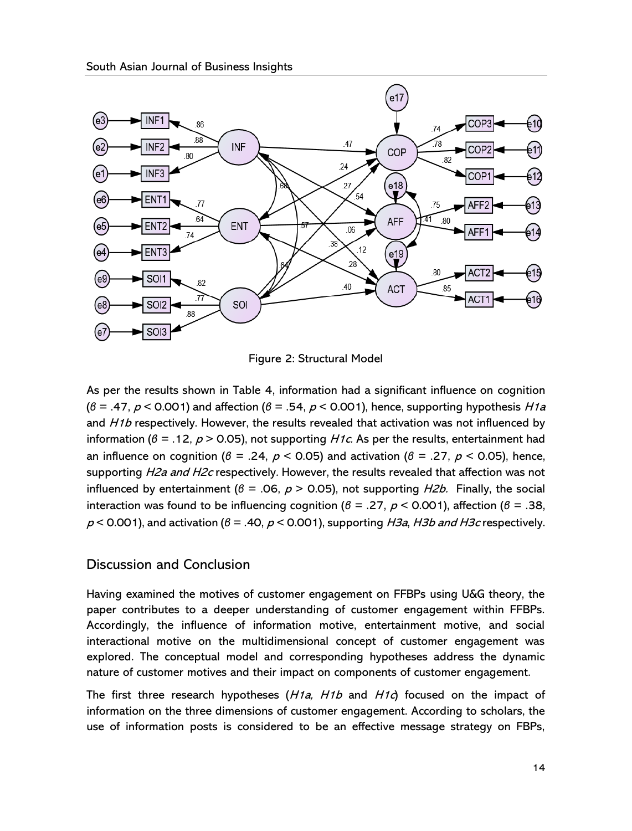

Figure 2: Structural Model

As per the results shown in Table 4, information had a significant influence on cognition (*β* = .47, <sup>p</sup> < 0.001) and affection (*β* = .54, <sup>p</sup> < 0.001), hence, supporting hypothesis H1a and H1b respectively. However, the results revealed that activation was not influenced by information ( $\beta = .12$ ,  $p > 0.05$ ), not supporting *H1c.* As per the results, entertainment had an influence on cognition ( $\beta = .24$ ,  $p < 0.05$ ) and activation ( $\beta = .27$ ,  $p < 0.05$ ), hence, supporting H2a and H2c respectively. However, the results revealed that affection was not influenced by entertainment ( $\beta$  = .06,  $p$  > 0.05), not supporting *H2b*. Finally, the social interaction was found to be influencing cognition ( $\beta = .27$ ,  $\rho < 0.001$ ), affection ( $\beta = .38$ , <sup>p</sup> < 0.001), and activation (*β* = .40, <sup>p</sup> < 0.001), supporting H3a, H3b and H3c respectively.

#### Discussion and Conclusion

Having examined the motives of customer engagement on FFBPs using U&G theory, the paper contributes to a deeper understanding of customer engagement within FFBPs. Accordingly, the influence of information motive, entertainment motive, and social interactional motive on the multidimensional concept of customer engagement was explored. The conceptual model and corresponding hypotheses address the dynamic nature of customer motives and their impact on components of customer engagement.

The first three research hypotheses  $(H1a, H1b)$  and  $H1c$  focused on the impact of information on the three dimensions of customer engagement. According to scholars, the use of information posts is considered to be an effective message strategy on FBPs,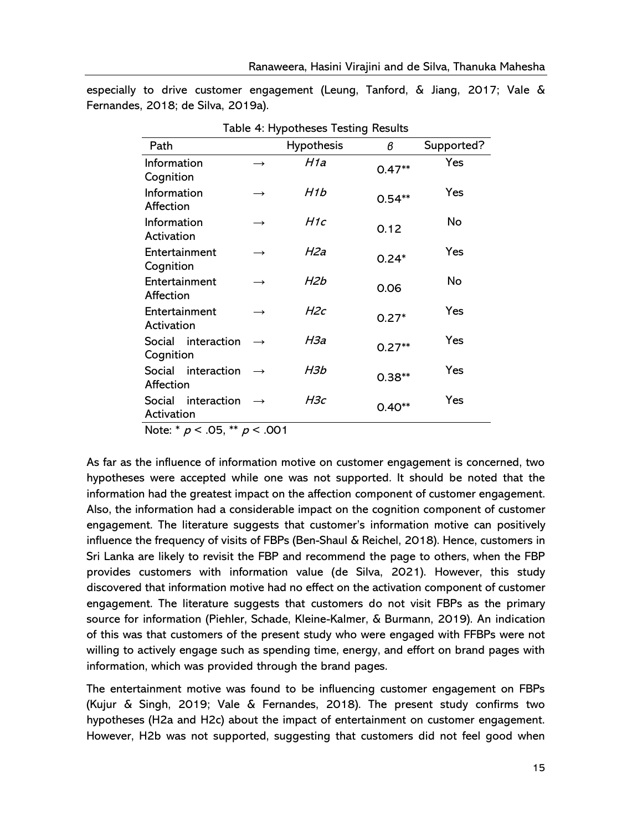| Table 4: Hypotheses Testing Results |                   |                   |          |            |  |  |
|-------------------------------------|-------------------|-------------------|----------|------------|--|--|
| Path                                |                   | <b>Hypothesis</b> | в        | Supported? |  |  |
| Information<br>Cognition            | $\rightarrow$     | H1a               | $0.47**$ | Yes        |  |  |
| Information<br>Affection            | $\longrightarrow$ | H1b               | $0.54**$ | Yes        |  |  |
| Information<br>Activation           | $\longrightarrow$ | H1c               | 0.12     | No         |  |  |
| Entertainment<br>Cognition          | $\rightarrow$     | H2a               | $0.24*$  | Yes        |  |  |
| Entertainment<br>Affection          |                   | H2b               | 0.06     | No         |  |  |
| Entertainment<br>Activation         |                   | H2c               | $0.27*$  | Yes        |  |  |
| Social interaction<br>Cognition     |                   | НЗа               | $0.27**$ | Yes        |  |  |
| Social interaction<br>Affection     |                   | H3b               | $0.38**$ | Yes        |  |  |
| Social<br>interaction<br>Activation | $\rightarrow$     | НЗс               | $0.40**$ | Yes        |  |  |
| NII * AF **<br>$\sim$ 0.0 $\sim$    |                   |                   |          |            |  |  |

especially to drive customer engagement (Leung, Tanford, & Jiang, 2017; Vale & Fernandes, 2018; de Silva, 2019a).

Note:  $* p < .05, ** p < .001$ 

As far as the influence of information motive on customer engagement is concerned, two hypotheses were accepted while one was not supported. It should be noted that the information had the greatest impact on the affection component of customer engagement. Also, the information had a considerable impact on the cognition component of customer engagement. The literature suggests that customer's information motive can positively influence the frequency of visits of FBPs (Ben-Shaul & Reichel, 2018). Hence, customers in Sri Lanka are likely to revisit the FBP and recommend the page to others, when the FBP provides customers with information value (de Silva, 2021). However, this study discovered that information motive had no effect on the activation component of customer engagement. The literature suggests that customers do not visit FBPs as the primary source for information (Piehler, Schade, Kleine-Kalmer, & Burmann, 2019). An indication of this was that customers of the present study who were engaged with FFBPs were not willing to actively engage such as spending time, energy, and effort on brand pages with information, which was provided through the brand pages.

The entertainment motive was found to be influencing customer engagement on FBPs (Kujur & Singh, 2019; Vale & Fernandes, 2018). The present study confirms two hypotheses (H2a and H2c) about the impact of entertainment on customer engagement. However, H2b was not supported, suggesting that customers did not feel good when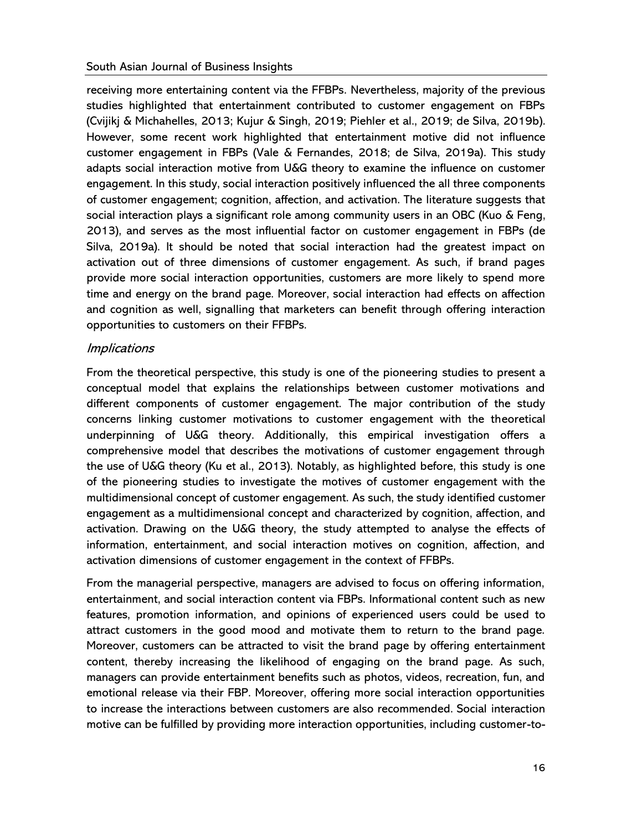receiving more entertaining content via the FFBPs. Nevertheless, majority of the previous studies highlighted that entertainment contributed to customer engagement on FBPs (Cvijikj & Michahelles, 2013; Kujur & Singh, 2019; Piehler et al., 2019; de Silva, 2019b). However, some recent work highlighted that entertainment motive did not influence customer engagement in FBPs (Vale & Fernandes, 2018; de Silva, 2019a). This study adapts social interaction motive from U&G theory to examine the influence on customer engagement. In this study, social interaction positively influenced the all three components of customer engagement; cognition, affection, and activation. The literature suggests that social interaction plays a significant role among community users in an OBC (Kuo & Feng, 2013), and serves as the most influential factor on customer engagement in FBPs (de Silva, 2019a). It should be noted that social interaction had the greatest impact on activation out of three dimensions of customer engagement. As such, if brand pages provide more social interaction opportunities, customers are more likely to spend more time and energy on the brand page. Moreover, social interaction had effects on affection and cognition as well, signalling that marketers can benefit through offering interaction opportunities to customers on their FFBPs.

#### **Implications**

From the theoretical perspective, this study is one of the pioneering studies to present a conceptual model that explains the relationships between customer motivations and different components of customer engagement. The major contribution of the study concerns linking customer motivations to customer engagement with the theoretical underpinning of U&G theory. Additionally, this empirical investigation offers a comprehensive model that describes the motivations of customer engagement through the use of U&G theory (Ku et al., 2013). Notably, as highlighted before, this study is one of the pioneering studies to investigate the motives of customer engagement with the multidimensional concept of customer engagement. As such, the study identified customer engagement as a multidimensional concept and characterized by cognition, affection, and activation. Drawing on the U&G theory, the study attempted to analyse the effects of information, entertainment, and social interaction motives on cognition, affection, and activation dimensions of customer engagement in the context of FFBPs.

From the managerial perspective, managers are advised to focus on offering information, entertainment, and social interaction content via FBPs. Informational content such as new features, promotion information, and opinions of experienced users could be used to attract customers in the good mood and motivate them to return to the brand page. Moreover, customers can be attracted to visit the brand page by offering entertainment content, thereby increasing the likelihood of engaging on the brand page. As such, managers can provide entertainment benefits such as photos, videos, recreation, fun, and emotional release via their FBP. Moreover, offering more social interaction opportunities to increase the interactions between customers are also recommended. Social interaction motive can be fulfilled by providing more interaction opportunities, including customer-to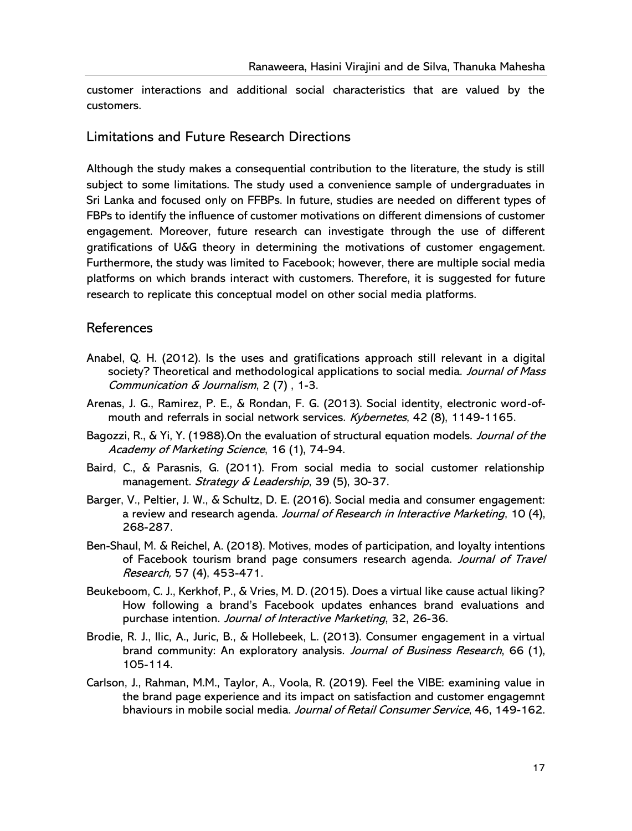customer interactions and additional social characteristics that are valued by the customers.

#### Limitations and Future Research Directions

Although the study makes a consequential contribution to the literature, the study is still subject to some limitations. The study used a convenience sample of undergraduates in Sri Lanka and focused only on FFBPs. In future, studies are needed on different types of FBPs to identify the influence of customer motivations on different dimensions of customer engagement. Moreover, future research can investigate through the use of different gratifications of U&G theory in determining the motivations of customer engagement. Furthermore, the study was limited to Facebook; however, there are multiple social media platforms on which brands interact with customers. Therefore, it is suggested for future research to replicate this conceptual model on other social media platforms.

#### References

- Anabel, Q. H. (2012). Is the uses and gratifications approach still relevant in a digital society? Theoretical and methodological applications to social media. Journal of Mass Communication & Journalism, 2 (7) , 1-3.
- Arenas, J. G., Ramirez, P. E., & Rondan, F. G. (2013). Social identity, electronic word-ofmouth and referrals in social network services. Kybernetes, 42 (8), 1149-1165.
- Bagozzi, R., & Yi, Y. (1988).On the evaluation of structural equation models. Journal of the Academy of Marketing Science, 16 (1), 74-94.
- Baird, C., & Parasnis, G. (2011). From social media to social customer relationship management. Strategy  $\&$  Leadership, 39 (5), 30-37.
- Barger, V., Peltier, J. W., & Schultz, D. E. (2016). Social media and consumer engagement: a review and research agenda. Journal of Research in Interactive Marketing, 10 (4), 268-287.
- Ben-Shaul, M. & Reichel, A. (2018). Motives, modes of participation, and loyalty intentions of Facebook tourism brand page consumers research agenda. Journal of Travel Research, 57 (4), 453-471.
- Beukeboom, C. J., Kerkhof, P., & Vries, M. D. (2015). Does a virtual like cause actual liking? How following a brand's Facebook updates enhances brand evaluations and purchase intention. Journal of Interactive Marketing, 32, 26-36.
- Brodie, R. J., Ilic, A., Juric, B., & Hollebeek, L. (2013). Consumer engagement in a virtual brand community: An exploratory analysis. Journal of Business Research, 66 (1), 105-114.
- Carlson, J., Rahman, M.M., Taylor, A., Voola, R. (2019). Feel the VIBE: examining value in the brand page experience and its impact on satisfaction and customer engagemnt bhaviours in mobile social media. Journal of Retail Consumer Service, 46, 149-162.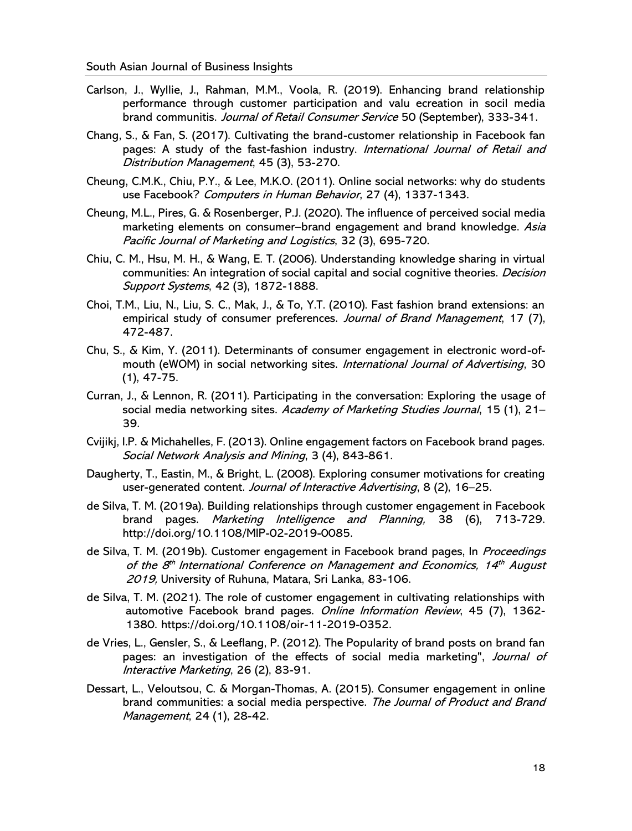- Carlson, J., Wyllie, J., Rahman, M.M., Voola, R. (2019). Enhancing brand relationship performance through customer participation and valu ecreation in socil media brand communitis. Journal of Retail Consumer Service 50 (September), 333-341.
- Chang, S., & Fan, S. (2017). Cultivating the brand-customer relationship in Facebook fan pages: A study of the fast-fashion industry. International Journal of Retail and Distribution Management, 45 (3), 53-270.
- Cheung, C.M.K., Chiu, P.Y., & Lee, M.K.O. (2011). Online social networks: why do students use Facebook? Computers in Human Behavior, 27 (4), 1337-1343.
- Cheung, M.L., Pires, G. & Rosenberger, P.J. (2020). The influence of perceived social media marketing elements on consumer–brand engagement and brand knowledge. Asia Pacific Journal of Marketing and Logistics, 32 (3), 695-720.
- Chiu, C. M., Hsu, M. H., & Wang, E. T. (2006). Understanding knowledge sharing in virtual communities: An integration of social capital and social cognitive theories. *Decision* Support Systems, 42 (3), 1872-1888.
- Choi, T.M., Liu, N., Liu, S. C., Mak, J., & To, Y.T. (2010). Fast fashion brand extensions: an empirical study of consumer preferences. Journal of Brand Management, 17 (7), 472-487.
- Chu, S., & Kim, Y. (2011). Determinants of consumer engagement in electronic word-ofmouth (eWOM) in social networking sites. International Journal of Advertising, 30 (1), 47-75.
- Curran, J., & Lennon, R. (2011). Participating in the conversation: Exploring the usage of social media networking sites. Academy of Marketing Studies Journal, 15 (1), 21-39.
- Cvijikj, I.P. & Michahelles, F. (2013). Online engagement factors on Facebook brand pages. Social Network Analysis and Mining, 3 (4), 843-861.
- Daugherty, T., Eastin, M., & Bright, L. (2008). Exploring consumer motivations for creating user-generated content. Journal of Interactive Advertising, 8 (2), 16–25.
- de Silva, T. M. (2019a). Building relationships through customer engagement in Facebook brand pages. Marketing Intelligence and Planning, 38 (6), 713-729. http://doi.org/10.1108/MIP-02-2019-0085.
- de Silva, T. M. (2019b). Customer engagement in Facebook brand pages, In *Proceedings* of the 8<sup>th</sup> International Conference on Management and Economics, 14<sup>th</sup> August 2019, University of Ruhuna, Matara, Sri Lanka, 83-106.
- de Silva, T. M. (2021). The role of customer engagement in cultivating relationships with automotive Facebook brand pages. Online Information Review, 45 (7), 1362-1380. https://doi.org/10.1108/oir-11-2019-0352.
- de Vries, L., Gensler, S., & Leeflang, P. (2012). The Popularity of brand posts on brand fan pages: an investigation of the effects of social media marketing", Journal of Interactive Marketing, 26 (2), 83-91.
- Dessart, L., Veloutsou, C. & Morgan-Thomas, A. (2015). Consumer engagement in online brand communities: a social media perspective. The Journal of Product and Brand Management, 24 (1), 28-42.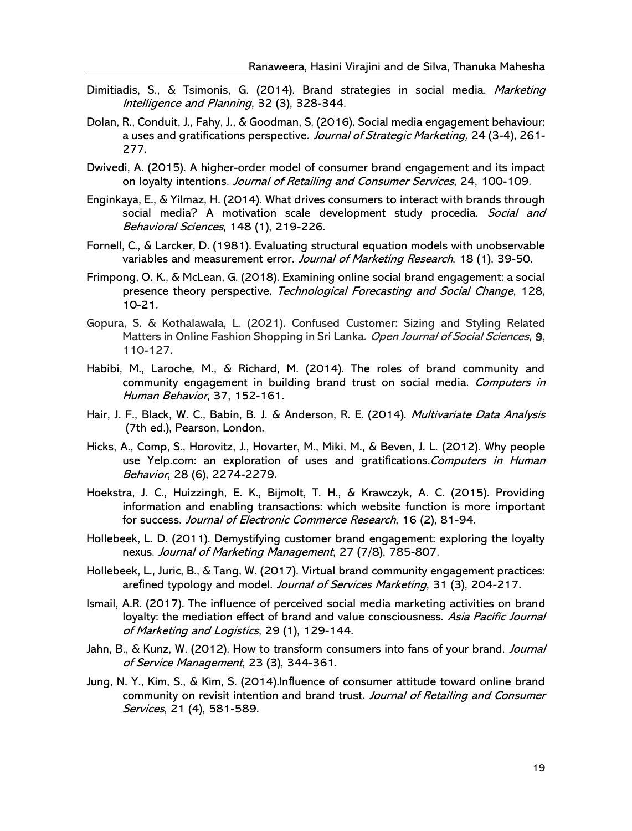- Dimitiadis, S., & Tsimonis, G. (2014). Brand strategies in social media. Marketing Intelligence and Planning, 32 (3), 328-344.
- Dolan, R., Conduit, J., Fahy, J., & Goodman, S. (2016). Social media engagement behaviour: a uses and gratifications perspective. Journal of Strategic Marketing, 24 (3-4), 261-277.
- Dwivedi, A. (2015). A higher-order model of consumer brand engagement and its impact on loyalty intentions. Journal of Retailing and Consumer Services, 24, 100-109.
- Enginkaya, E., & Yilmaz, H. (2014). What drives consumers to interact with brands through social media? A motivation scale development study procedia. Social and Behavioral Sciences, 148 (1), 219-226.
- Fornell, C., & Larcker, D. (1981). Evaluating structural equation models with unobservable variables and measurement error. Journal of Marketing Research, 18 (1), 39-50.
- Frimpong, O. K., & McLean, G. (2018). Examining online social brand engagement: a social presence theory perspective. Technological Forecasting and Social Change, 128, 10-21.
- Gopura, S. & Kothalawala, L. (2021). Confused Customer: Sizing and Styling Related Matters in Online Fashion Shopping in Sri Lanka. Open Journal of Social Sciences, 9, 110-127.
- Habibi, M., Laroche, M., & Richard, M. (2014). The roles of brand community and community engagement in building brand trust on social media. Computers in Human Behavior, 37, 152-161.
- Hair, J. F., Black, W. C., Babin, B. J. & Anderson, R. E. (2014). *Multivariate Data Analysis* (7th ed.), Pearson, London.
- Hicks, A., Comp, S., Horovitz, J., Hovarter, M., Miki, M., & Beven, J. L. (2012). Why people use Yelp.com: an exploration of uses and gratifications. Computers in Human Behavior, 28 (6), 2274-2279.
- Hoekstra, J. C., Huizzingh, E. K., Bijmolt, T. H., & Krawczyk, A. C. (2015). Providing information and enabling transactions: which website function is more important for success. Journal of Electronic Commerce Research, 16 (2), 81-94.
- Hollebeek, L. D. (2011). Demystifying customer brand engagement: exploring the loyalty nexus. Journal of Marketing Management, 27 (7/8), 785-807.
- Hollebeek, L., Juric, B., & Tang, W. (2017). Virtual brand community engagement practices: arefined typology and model. Journal of Services Marketing, 31 (3), 204-217.
- Ismail, A.R. (2017). The influence of perceived social media marketing activities on brand loyalty: the mediation effect of brand and value consciousness. Asia Pacific Journal of Marketing and Logistics, 29 (1), 129-144.
- Jahn, B., & Kunz, W. (2012). How to transform consumers into fans of your brand. Journal of Service Management, 23 (3), 344-361.
- Jung, N. Y., Kim, S., & Kim, S. (2014).Influence of consumer attitude toward online brand community on revisit intention and brand trust. Journal of Retailing and Consumer Services, 21 (4), 581-589.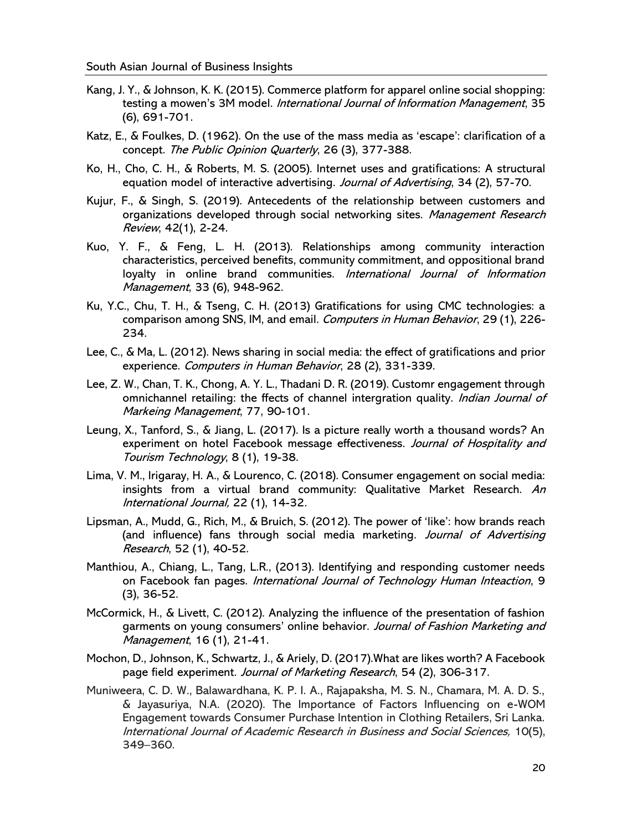- Kang, J. Y., & Johnson, K. K. (2015). Commerce platform for apparel online social shopping: testing a mowen's 3M model. *International Journal of Information Management*, 35 (6), 691-701.
- Katz, E., & Foulkes, D. (1962). On the use of the mass media as 'escape': clarification of a concept. The Public Opinion Quarterly, 26 (3), 377-388.
- Ko, H., Cho, C. H., & Roberts, M. S. (2005). Internet uses and gratifications: A structural equation model of interactive advertising. Journal of Advertising, 34 (2), 57-70.
- Kujur, F., & Singh, S. (2019). Antecedents of the relationship between customers and organizations developed through social networking sites. Management Research Review, 42(1), 2-24.
- Kuo, Y. F., & Feng, L. H. (2013). Relationships among community interaction characteristics, perceived benefits, community commitment, and oppositional brand loyalty in online brand communities. International Journal of Information Management, 33 (6), 948-962.
- Ku, Y.C., Chu, T. H., & Tseng, C. H. (2013) Gratifications for using CMC technologies: a comparison among SNS, IM, and email. Computers in Human Behavior, 29 (1), 226-234.
- Lee, C., & Ma, L. (2012). News sharing in social media: the effect of gratifications and prior experience. Computers in Human Behavior, 28 (2), 331-339.
- Lee, Z. W., Chan, T. K., Chong, A. Y. L., Thadani D. R. (2019). Customr engagement through omnichannel retailing: the ffects of channel intergration quality. Indian Journal of Markeing Management, 77, 90-101.
- Leung, X., Tanford, S., & Jiang, L. (2017). Is a picture really worth a thousand words? An experiment on hotel Facebook message effectiveness. Journal of Hospitality and Tourism Technology, 8 (1), 19-38.
- Lima, V. M., Irigaray, H. A., & Lourenco, C. (2018). Consumer engagement on social media: insights from a virtual brand community: Qualitative Market Research. An International Journal, 22 (1), 14-32.
- Lipsman, A., Mudd, G., Rich, M., & Bruich, S. (2012). The power of 'like': how brands reach (and influence) fans through social media marketing. Journal of Advertising Research, 52 (1), 40-52.
- Manthiou, A., Chiang, L., Tang, L.R., (2013). Identifying and responding customer needs on Facebook fan pages. International Journal of Technology Human Inteaction, 9 (3), 36-52.
- McCormick, H., & Livett, C. (2012). Analyzing the influence of the presentation of fashion garments on young consumers' online behavior. Journal of Fashion Marketing and Management, 16 (1), 21-41.
- Mochon, D., Johnson, K., Schwartz, J., & Ariely, D. (2017).What are likes worth? A Facebook page field experiment. Journal of Marketing Research, 54 (2), 306-317.
- Muniweera, C. D. W., Balawardhana, K. P. I. A., Rajapaksha, M. S. N., Chamara, M. A. D. S., & Jayasuriya, N.A. (2020). The Importance of Factors Influencing on e-WOM Engagement towards Consumer Purchase Intention in Clothing Retailers, Sri Lanka. International Journal of Academic Research in Business and Social Sciences, 10(5), 349–360.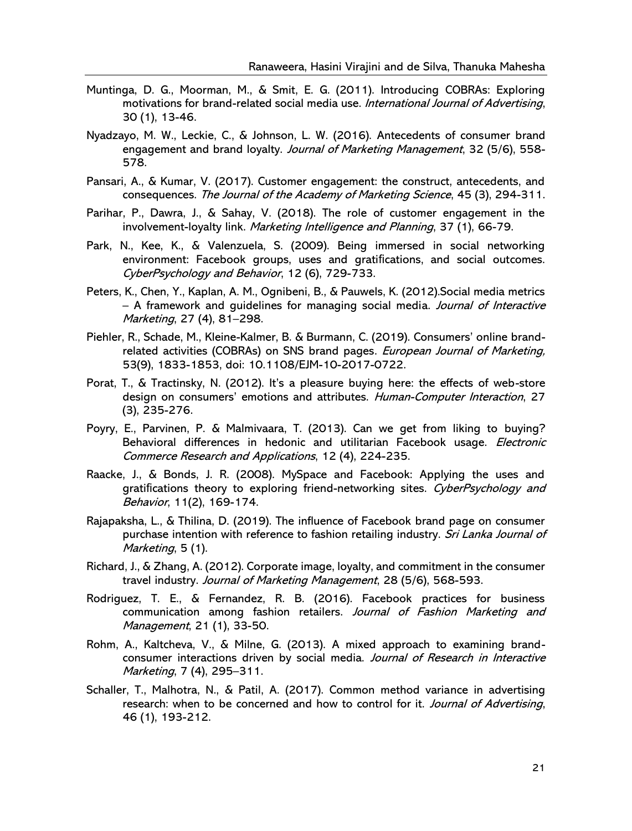- Muntinga, D. G., Moorman, M., & Smit, E. G. (2011). Introducing COBRAs: Exploring motivations for brand-related social media use. International Journal of Advertising, 30 (1), 13-46.
- Nyadzayo, M. W., Leckie, C., & Johnson, L. W. (2016). Antecedents of consumer brand engagement and brand loyalty. Journal of Marketing Management, 32 (5/6), 558-578.
- Pansari, A., & Kumar, V. (2017). Customer engagement: the construct, antecedents, and consequences. The Journal of the Academy of Marketing Science, 45 (3), 294-311.
- Parihar, P., Dawra, J., & Sahay, V. (2018). The role of customer engagement in the involvement-loyalty link. Marketing Intelligence and Planning, 37 (1), 66-79.
- Park, N., Kee, K., & Valenzuela, S. (2009). Being immersed in social networking environment: Facebook groups, uses and gratifications, and social outcomes. CyberPsychology and Behavior, 12 (6), 729-733.
- Peters, K., Chen, Y., Kaplan, A. M., Ognibeni, B., & Pauwels, K. (2012).Social media metrics – A framework and quidelines for managing social media. Journal of Interactive Marketing, 27 (4), 81–298.
- Piehler, R., Schade, M., Kleine-Kalmer, B. & Burmann, C. (2019). Consumers' online brandrelated activities (COBRAs) on SNS brand pages. *European Journal of Marketing*, 53(9), 1833-1853, doi: 10.1108/EJM-10-2017-0722.
- Porat, T., & Tractinsky, N. (2012). It's a pleasure buying here: the effects of web-store design on consumers' emotions and attributes. Human-Computer Interaction, 27 (3), 235-276.
- Poyry, E., Parvinen, P. & Malmivaara, T. (2013). Can we get from liking to buying? Behavioral differences in hedonic and utilitarian Facebook usage. Electronic Commerce Research and Applications, 12 (4), 224-235.
- Raacke, J., & Bonds, J. R. (2008). MySpace and Facebook: Applying the uses and gratifications theory to exploring friend-networking sites. CyberPsychology and Behavior, 11(2), 169-174.
- Rajapaksha, L., & Thilina, D. (2019). The influence of Facebook brand page on consumer purchase intention with reference to fashion retailing industry. Sri Lanka Journal of Marketing, 5 (1).
- Richard, J., & Zhang, A. (2012). Corporate image, loyalty, and commitment in the consumer travel industry. Journal of Marketing Management, 28 (5/6), 568-593.
- Rodriguez, T. E., & Fernandez, R. B. (2016). Facebook practices for business communication among fashion retailers. Journal of Fashion Marketing and Management, 21 (1), 33-50.
- Rohm, A., Kaltcheva, V., & Milne, G. (2013). A mixed approach to examining brandconsumer interactions driven by social media. Journal of Research in Interactive Marketing, 7 (4), 295–311.
- Schaller, T., Malhotra, N., & Patil, A. (2017). Common method variance in advertising research: when to be concerned and how to control for it. *Journal of Advertising*, 46 (1), 193-212.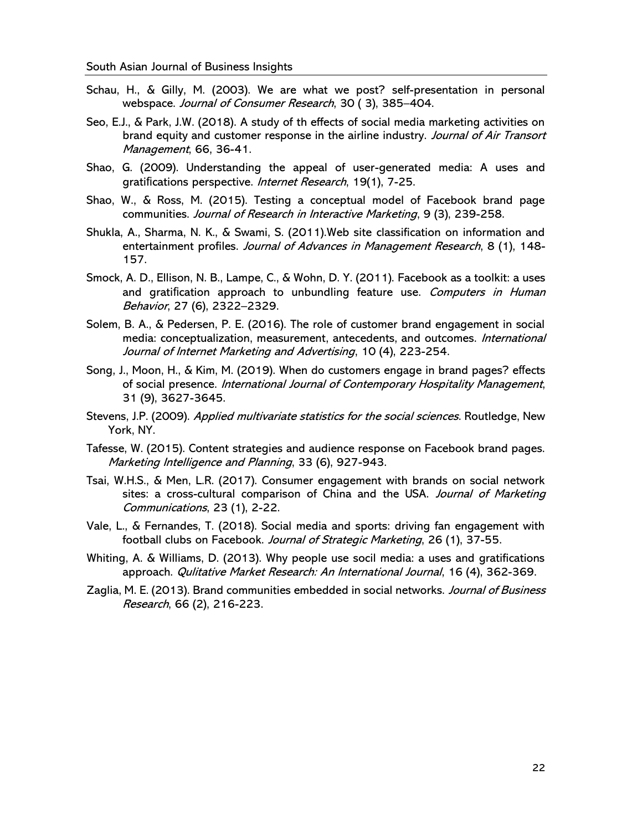- Schau, H., & Gilly, M. (2003). We are what we post? self-presentation in personal webspace. Journal of Consumer Research, 30 ( 3), 385–404.
- Seo, E.J., & Park, J.W. (2018). A study of th effects of social media marketing activities on brand equity and customer response in the airline industry. Journal of Air Transort Management, 66, 36-41.
- Shao, G. (2009). Understanding the appeal of user-generated media: A uses and gratifications perspective. Internet Research, 19(1), 7-25.
- Shao, W., & Ross, M. (2015). Testing a conceptual model of Facebook brand page communities. Journal of Research in Interactive Marketing, 9 (3), 239-258.
- Shukla, A., Sharma, N. K., & Swami, S. (2011).Web site classification on information and entertainment profiles. Journal of Advances in Management Research, 8 (1), 148-157.
- Smock, A. D., Ellison, N. B., Lampe, C., & Wohn, D. Y. (2011). Facebook as a toolkit: a uses and gratification approach to unbundling feature use. Computers in Human Behavior, 27 (6), 2322–2329.
- Solem, B. A., & Pedersen, P. E. (2016). The role of customer brand engagement in social media: conceptualization, measurement, antecedents, and outcomes. International Journal of Internet Marketing and Advertising, 10 (4), 223-254.
- Song, J., Moon, H., & Kim, M. (2019). When do customers engage in brand pages? effects of social presence. International Journal of Contemporary Hospitality Management, 31 (9), 3627-3645.
- Stevens, J.P. (2009). Applied multivariate statistics for the social sciences. Routledge, New York, NY.
- Tafesse, W. (2015). Content strategies and audience response on Facebook brand pages. Marketing Intelligence and Planning, 33 (6), 927-943.
- Tsai, W.H.S., & Men, L.R. (2017). Consumer engagement with brands on social network sites: a cross-cultural comparison of China and the USA. Journal of Marketing Communications, 23 (1), 2-22.
- Vale, L., & Fernandes, T. (2018). Social media and sports: driving fan engagement with football clubs on Facebook. Journal of Strategic Marketing, 26 (1), 37-55.
- Whiting, A. & Williams, D. (2013). Why people use socil media: a uses and gratifications approach. Qulitative Market Research: An International Journal, 16 (4), 362-369.
- Zaglia, M. E. (2013). Brand communities embedded in social networks. Journal of Business Research, 66 (2), 216-223.